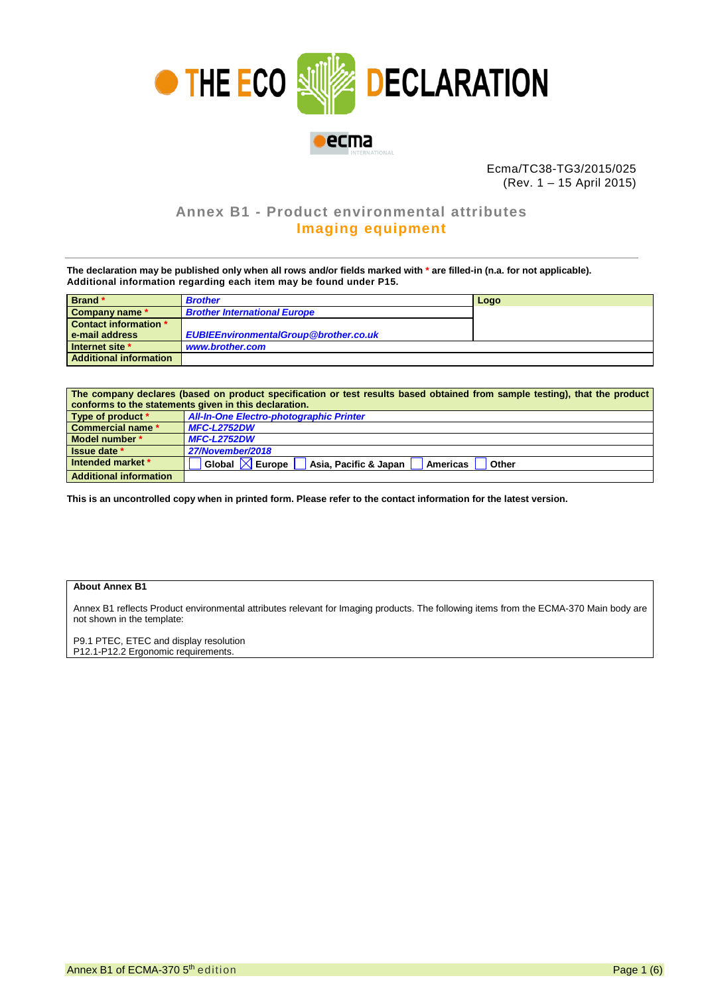

Ecma/TC38-TG3/2015/025 (Rev. 1 – 15 April 2015)

## **Annex B1 - Product environmental attributes Imaging equipment**

**The declaration may be published only when all rows and/or fields marked with \* are filled-in (n.a. for not applicable). Additional information regarding each item may be found under P15.**

| Brand *                       | <b>Brother</b>                               | Logo |
|-------------------------------|----------------------------------------------|------|
| Company name *                | <b>Brother International Europe</b>          |      |
| Contact information *         |                                              |      |
| e-mail address                | <b>EUBIEEnvironmentalGroup@brother.co.uk</b> |      |
| Internet site *               | www.brother.com                              |      |
| <b>Additional information</b> |                                              |      |

| The company declares (based on product specification or test results based obtained from sample testing), that the product |                                                                              |  |  |  |  |
|----------------------------------------------------------------------------------------------------------------------------|------------------------------------------------------------------------------|--|--|--|--|
| conforms to the statements given in this declaration.                                                                      |                                                                              |  |  |  |  |
| Type of product *                                                                                                          | <b>All-In-One Electro-photographic Printer</b>                               |  |  |  |  |
| <b>Commercial name *</b>                                                                                                   | <b>MFC-L2752DW</b>                                                           |  |  |  |  |
| Model number *                                                                                                             | <b>MFC-L2752DW</b>                                                           |  |  |  |  |
| <b>Issue date</b> *                                                                                                        | 27/November/2018                                                             |  |  |  |  |
| Intended market *                                                                                                          | Global $\boxed{\times}$ Europe<br>Asia, Pacific & Japan<br>Americas<br>Other |  |  |  |  |
| <b>Additional information</b>                                                                                              |                                                                              |  |  |  |  |

**This is an uncontrolled copy when in printed form. Please refer to the contact information for the latest version.**

## **About Annex B1**

Annex B1 reflects Product environmental attributes relevant for Imaging products. The following items from the ECMA-370 Main body are not shown in the template:

P9.1 PTEC, ETEC and display resolution P12.1-P12.2 Ergonomic requirements.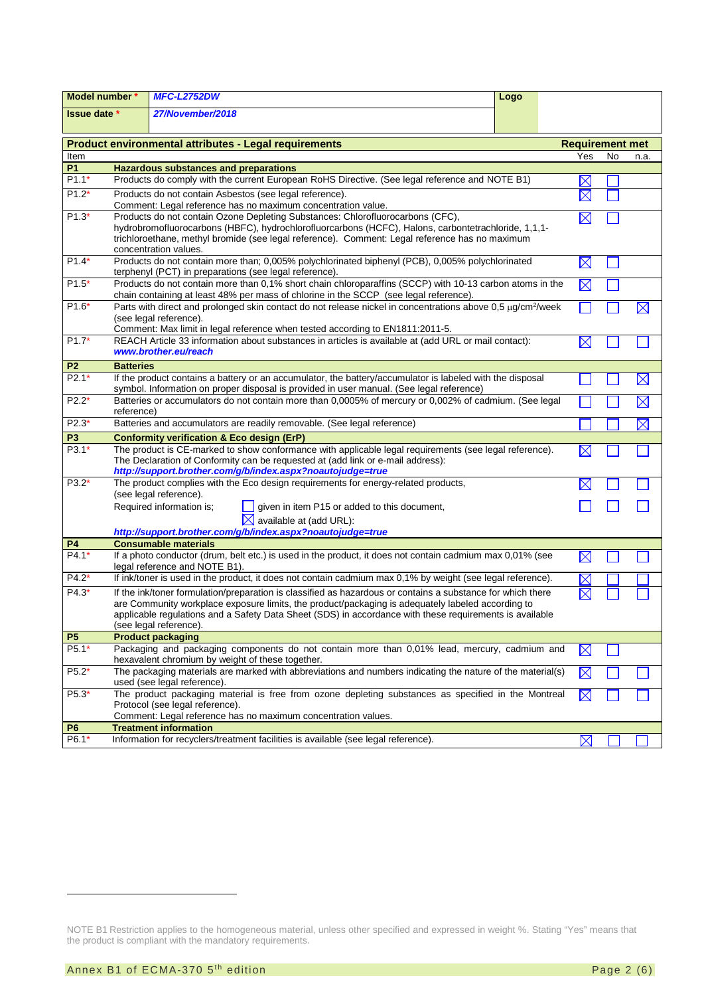| Model number *      |                                                                                                                                                                                                                                                                                                                                 | <b>MFC-L2752DW</b>                                                                                                                                                                                                                                                                                                                                    | Logo |                        |    |             |
|---------------------|---------------------------------------------------------------------------------------------------------------------------------------------------------------------------------------------------------------------------------------------------------------------------------------------------------------------------------|-------------------------------------------------------------------------------------------------------------------------------------------------------------------------------------------------------------------------------------------------------------------------------------------------------------------------------------------------------|------|------------------------|----|-------------|
| <b>Issue date</b> * |                                                                                                                                                                                                                                                                                                                                 | 27/November/2018                                                                                                                                                                                                                                                                                                                                      |      |                        |    |             |
|                     |                                                                                                                                                                                                                                                                                                                                 | <b>Product environmental attributes - Legal requirements</b>                                                                                                                                                                                                                                                                                          |      | <b>Requirement met</b> |    |             |
| Item                |                                                                                                                                                                                                                                                                                                                                 |                                                                                                                                                                                                                                                                                                                                                       |      | Yes                    | No | n.a.        |
| <b>P1</b>           |                                                                                                                                                                                                                                                                                                                                 | <b>Hazardous substances and preparations</b>                                                                                                                                                                                                                                                                                                          |      |                        |    |             |
| $P1.1*$             |                                                                                                                                                                                                                                                                                                                                 | Products do comply with the current European RoHS Directive. (See legal reference and NOTE B1)                                                                                                                                                                                                                                                        |      |                        |    |             |
| $P1.2*$             |                                                                                                                                                                                                                                                                                                                                 | Products do not contain Asbestos (see legal reference).                                                                                                                                                                                                                                                                                               |      |                        |    |             |
|                     | Comment: Legal reference has no maximum concentration value.                                                                                                                                                                                                                                                                    |                                                                                                                                                                                                                                                                                                                                                       |      |                        |    |             |
| $P1.3*$             | Products do not contain Ozone Depleting Substances: Chlorofluorocarbons (CFC),<br>$\boxtimes$<br>hydrobromofluorocarbons (HBFC), hydrochlorofluorcarbons (HCFC), Halons, carbontetrachloride, 1,1,1-<br>trichloroethane, methyl bromide (see legal reference). Comment: Legal reference has no maximum<br>concentration values. |                                                                                                                                                                                                                                                                                                                                                       |      |                        |    |             |
| $P1.4*$             |                                                                                                                                                                                                                                                                                                                                 | Products do not contain more than; 0,005% polychlorinated biphenyl (PCB), 0,005% polychlorinated<br>terphenyl (PCT) in preparations (see legal reference).                                                                                                                                                                                            |      | $\boxtimes$            |    |             |
| $P1.5*$             |                                                                                                                                                                                                                                                                                                                                 | Products do not contain more than 0,1% short chain chloroparaffins (SCCP) with 10-13 carbon atoms in the<br>chain containing at least 48% per mass of chlorine in the SCCP (see legal reference).                                                                                                                                                     |      | $\boxtimes$            |    |             |
| $P1.6*$             |                                                                                                                                                                                                                                                                                                                                 | Parts with direct and prolonged skin contact do not release nickel in concentrations above 0,5 µg/cm <sup>2</sup> /week<br>(see legal reference).<br>Comment: Max limit in legal reference when tested according to EN1811:2011-5.                                                                                                                    |      |                        |    | $\boxtimes$ |
| $P1.7*$             |                                                                                                                                                                                                                                                                                                                                 | REACH Article 33 information about substances in articles is available at (add URL or mail contact):<br>www.brother.eu/reach                                                                                                                                                                                                                          |      | IX                     |    |             |
| P <sub>2</sub>      | <b>Batteries</b>                                                                                                                                                                                                                                                                                                                |                                                                                                                                                                                                                                                                                                                                                       |      |                        |    |             |
| $P2.1*$             |                                                                                                                                                                                                                                                                                                                                 | If the product contains a battery or an accumulator, the battery/accumulator is labeled with the disposal<br>symbol. Information on proper disposal is provided in user manual. (See legal reference)                                                                                                                                                 |      |                        |    | $\boxtimes$ |
| $P2.2*$             | reference)                                                                                                                                                                                                                                                                                                                      | Batteries or accumulators do not contain more than 0,0005% of mercury or 0,002% of cadmium. (See legal                                                                                                                                                                                                                                                |      |                        |    | $\boxtimes$ |
| $P2.3*$             |                                                                                                                                                                                                                                                                                                                                 | Batteries and accumulators are readily removable. (See legal reference)                                                                                                                                                                                                                                                                               |      |                        |    | $\boxtimes$ |
| P <sub>3</sub>      |                                                                                                                                                                                                                                                                                                                                 | <b>Conformity verification &amp; Eco design (ErP)</b>                                                                                                                                                                                                                                                                                                 |      |                        |    |             |
| $P3.1*$             |                                                                                                                                                                                                                                                                                                                                 | The product is CE-marked to show conformance with applicable legal requirements (see legal reference).<br>The Declaration of Conformity can be requested at (add link or e-mail address):<br>http://support.brother.com/g/b/index.aspx?noautojudge=true                                                                                               |      |                        |    |             |
| $P3.2*$             |                                                                                                                                                                                                                                                                                                                                 | The product complies with the Eco design requirements for energy-related products,<br>(see legal reference).                                                                                                                                                                                                                                          |      |                        |    |             |
|                     |                                                                                                                                                                                                                                                                                                                                 | given in item P15 or added to this document,<br>Required information is;<br>$\boxtimes$ available at (add URL):                                                                                                                                                                                                                                       |      |                        |    |             |
|                     |                                                                                                                                                                                                                                                                                                                                 | http://support.brother.com/g/b/index.aspx?noautojudge=true                                                                                                                                                                                                                                                                                            |      |                        |    |             |
| P4                  |                                                                                                                                                                                                                                                                                                                                 | <b>Consumable materials</b>                                                                                                                                                                                                                                                                                                                           |      |                        |    |             |
| $P4.1*$             |                                                                                                                                                                                                                                                                                                                                 | If a photo conductor (drum, belt etc.) is used in the product, it does not contain cadmium max 0,01% (see<br>legal reference and NOTE B1).                                                                                                                                                                                                            |      | $\boxtimes$            |    |             |
| $P4.2*$             |                                                                                                                                                                                                                                                                                                                                 | If ink/toner is used in the product, it does not contain cadmium max 0,1% by weight (see legal reference).                                                                                                                                                                                                                                            |      |                        |    |             |
| $P4.3*$             |                                                                                                                                                                                                                                                                                                                                 | If the ink/toner formulation/preparation is classified as hazardous or contains a substance for which there<br>are Community workplace exposure limits, the product/packaging is adequately labeled according to<br>applicable regulations and a Safety Data Sheet (SDS) in accordance with these requirements is available<br>(see legal reference). |      |                        |    |             |
| <b>P5</b>           |                                                                                                                                                                                                                                                                                                                                 | <b>Product packaging</b>                                                                                                                                                                                                                                                                                                                              |      |                        |    |             |
| P5.1*               |                                                                                                                                                                                                                                                                                                                                 | Packaging and packaging components do not contain more than 0,01% lead, mercury, cadmium and<br>hexavalent chromium by weight of these together.                                                                                                                                                                                                      |      | $\bowtie$              |    |             |
| $P5.2*$             |                                                                                                                                                                                                                                                                                                                                 | The packaging materials are marked with abbreviations and numbers indicating the nature of the material(s)<br>used (see legal reference).                                                                                                                                                                                                             |      | $\boxtimes$            |    |             |
| P5.3*               |                                                                                                                                                                                                                                                                                                                                 | The product packaging material is free from ozone depleting substances as specified in the Montreal<br>Protocol (see legal reference).<br>Comment: Legal reference has no maximum concentration values.                                                                                                                                               |      | $\boxtimes$            |    |             |
| P <sub>6</sub>      |                                                                                                                                                                                                                                                                                                                                 | <b>Treatment information</b>                                                                                                                                                                                                                                                                                                                          |      |                        |    |             |
| $P6.1*$             |                                                                                                                                                                                                                                                                                                                                 | Information for recyclers/treatment facilities is available (see legal reference).                                                                                                                                                                                                                                                                    |      | $\boxtimes$            |    |             |

-

<span id="page-1-1"></span><span id="page-1-0"></span>NOTE B1 Restriction applies to the homogeneous material, unless other specified and expressed in weight %. Stating "Yes" means that the product is compliant with the mandatory requirements.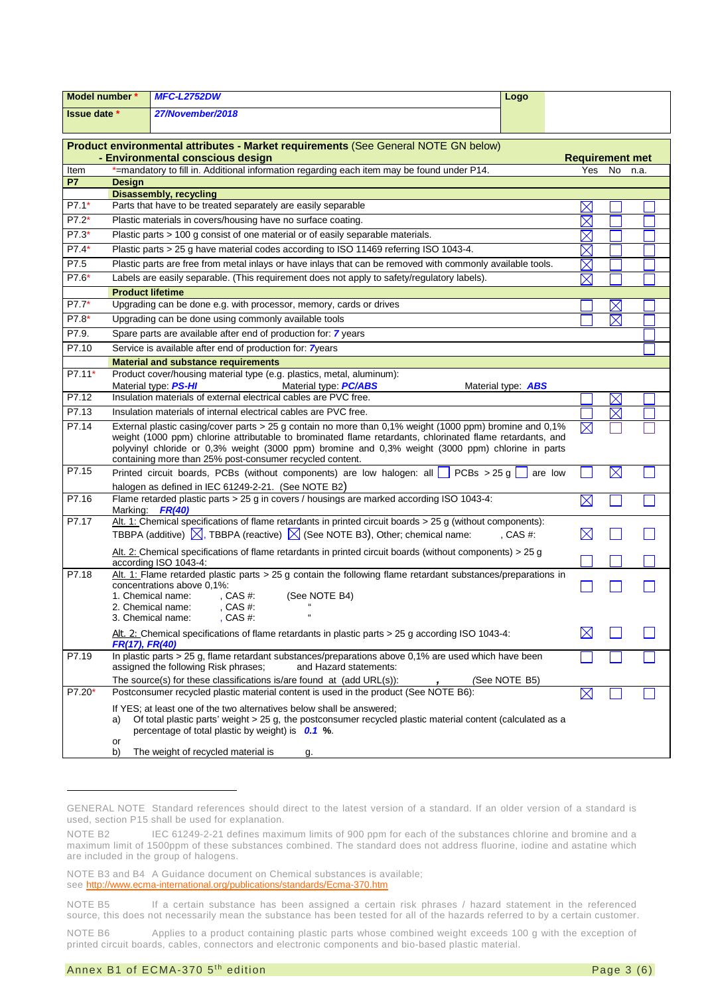| Model number *      |                                                                                                                                                                            | <b>MFC-L2752DW</b>                                                                                                                                                                                                                                                                                                                                                                    | Logo                      |                        |             |      |
|---------------------|----------------------------------------------------------------------------------------------------------------------------------------------------------------------------|---------------------------------------------------------------------------------------------------------------------------------------------------------------------------------------------------------------------------------------------------------------------------------------------------------------------------------------------------------------------------------------|---------------------------|------------------------|-------------|------|
| <b>Issue date *</b> |                                                                                                                                                                            | 27/November/2018                                                                                                                                                                                                                                                                                                                                                                      |                           |                        |             |      |
|                     |                                                                                                                                                                            | Product environmental attributes - Market requirements (See General NOTE GN below)<br>- Environmental conscious design                                                                                                                                                                                                                                                                |                           | <b>Requirement met</b> |             |      |
| Item                |                                                                                                                                                                            | *=mandatory to fill in. Additional information regarding each item may be found under P14.                                                                                                                                                                                                                                                                                            |                           | Yes                    | No          | n.a. |
| <b>P7</b>           | <b>Design</b>                                                                                                                                                              |                                                                                                                                                                                                                                                                                                                                                                                       |                           |                        |             |      |
|                     |                                                                                                                                                                            | <b>Disassembly, recycling</b><br>Parts that have to be treated separately are easily separable                                                                                                                                                                                                                                                                                        |                           |                        |             |      |
| $P7.1*$             |                                                                                                                                                                            | $\times$<br>$\times$                                                                                                                                                                                                                                                                                                                                                                  |                           |                        |             |      |
| P7.2*               | Plastic materials in covers/housing have no surface coating.                                                                                                               |                                                                                                                                                                                                                                                                                                                                                                                       |                           |                        |             |      |
| $\overline{P7.3*}$  |                                                                                                                                                                            | Plastic parts > 100 g consist of one material or of easily separable materials.                                                                                                                                                                                                                                                                                                       |                           | $\boxtimes$            |             |      |
| P7.4*               |                                                                                                                                                                            | Plastic parts > 25 g have material codes according to ISO 11469 referring ISO 1043-4.                                                                                                                                                                                                                                                                                                 |                           | $\times$               |             |      |
| P7.5                |                                                                                                                                                                            | Plastic parts are free from metal inlays or have inlays that can be removed with commonly available tools.                                                                                                                                                                                                                                                                            |                           | $\times$               |             |      |
| P7.6*               |                                                                                                                                                                            | Labels are easily separable. (This requirement does not apply to safety/regulatory labels).                                                                                                                                                                                                                                                                                           |                           | $\boxtimes$            |             |      |
|                     | <b>Product lifetime</b>                                                                                                                                                    |                                                                                                                                                                                                                                                                                                                                                                                       |                           |                        |             |      |
| P7.7*               |                                                                                                                                                                            | Upgrading can be done e.g. with processor, memory, cards or drives                                                                                                                                                                                                                                                                                                                    |                           |                        |             |      |
| P7.8*               |                                                                                                                                                                            | Upgrading can be done using commonly available tools                                                                                                                                                                                                                                                                                                                                  |                           |                        | $\boxtimes$ |      |
| P7.9.               |                                                                                                                                                                            | Spare parts are available after end of production for: 7 years                                                                                                                                                                                                                                                                                                                        |                           |                        |             |      |
| P7.10               |                                                                                                                                                                            | Service is available after end of production for: 7years                                                                                                                                                                                                                                                                                                                              |                           |                        |             |      |
|                     |                                                                                                                                                                            | <b>Material and substance requirements</b>                                                                                                                                                                                                                                                                                                                                            |                           |                        |             |      |
| P7.11*              |                                                                                                                                                                            | Product cover/housing material type (e.g. plastics, metal, aluminum):                                                                                                                                                                                                                                                                                                                 |                           |                        |             |      |
|                     |                                                                                                                                                                            | Material type: PS-HI<br>Material type <b>PC/ABS</b>                                                                                                                                                                                                                                                                                                                                   | Material type: <b>ABS</b> |                        |             |      |
| P7.12               |                                                                                                                                                                            | Insulation materials of external electrical cables are PVC free.                                                                                                                                                                                                                                                                                                                      |                           |                        | $\bowtie$   |      |
| P7.13               |                                                                                                                                                                            | Insulation materials of internal electrical cables are PVC free.                                                                                                                                                                                                                                                                                                                      |                           |                        | $\boxtimes$ |      |
| P7.14               |                                                                                                                                                                            | External plastic casing/cover parts > 25 g contain no more than 0,1% weight (1000 ppm) bromine and 0,1%<br>weight (1000 ppm) chlorine attributable to brominated flame retardants, chlorinated flame retardants, and<br>polyvinyl chloride or 0,3% weight (3000 ppm) bromine and 0,3% weight (3000 ppm) chlorine in parts<br>containing more than 25% post-consumer recycled content. |                           | $\boxtimes$            |             |      |
| P7.15               | $\boxtimes$<br>Printed circuit boards, PCBs (without components) are low halogen: all $\Box$ PCBs > 25 g<br>are low<br>halogen as defined in IEC 61249-2-21. (See NOTE B2) |                                                                                                                                                                                                                                                                                                                                                                                       |                           |                        |             |      |
| P7.16               | Flame retarded plastic parts > 25 g in covers / housings are marked according ISO 1043-4:<br>$\boxtimes$                                                                   |                                                                                                                                                                                                                                                                                                                                                                                       |                           |                        |             |      |
|                     | Marking: FR(40)                                                                                                                                                            |                                                                                                                                                                                                                                                                                                                                                                                       |                           |                        |             |      |
| P7.17               |                                                                                                                                                                            | Alt. 1: Chemical specifications of flame retardants in printed circuit boards $>$ 25 g (without components):                                                                                                                                                                                                                                                                          |                           |                        |             |      |
|                     | TBBPA (additive) $\boxtimes$ , TBBPA (reactive) $\boxtimes$ (See NOTE B3), Other; chemical name:<br>CAS#                                                                   |                                                                                                                                                                                                                                                                                                                                                                                       | $\boxtimes$               |                        |             |      |
|                     | Alt. 2: Chemical specifications of flame retardants in printed circuit boards (without components) > 25 g<br>according ISO 1043-4:                                         |                                                                                                                                                                                                                                                                                                                                                                                       |                           |                        |             |      |
| P7.18               |                                                                                                                                                                            | Alt. 1: Flame retarded plastic parts > 25 g contain the following flame retardant substances/preparations in                                                                                                                                                                                                                                                                          |                           |                        |             |      |
|                     |                                                                                                                                                                            | concentrations above 0,1%:<br>1. Chemical name:<br>(See NOTE B4)<br>, CAS #:<br>2. Chemical name:<br>, CAS $#$ :<br>3. Chemical name:<br>, CAS $#$ :                                                                                                                                                                                                                                  |                           |                        |             |      |
|                     | FR(17), FR(40)                                                                                                                                                             | $\underline{\text{Alt}}$ . 2: Chemical specifications of flame retardants in plastic parts > 25 g according ISO 1043-4:                                                                                                                                                                                                                                                               |                           | Х                      |             |      |
| P7.19               |                                                                                                                                                                            | In plastic parts > 25 g, flame retardant substances/preparations above 0,1% are used which have been<br>assigned the following Risk phrases;<br>and Hazard statements:                                                                                                                                                                                                                |                           |                        |             |      |
|                     | The source(s) for these classifications is/are found at (add URL(s)):<br>(See NOTE B5)                                                                                     |                                                                                                                                                                                                                                                                                                                                                                                       |                           |                        |             |      |
| $P7.20*$            | Postconsumer recycled plastic material content is used in the product (See NOTE B6):<br>$\boxtimes$                                                                        |                                                                                                                                                                                                                                                                                                                                                                                       |                           |                        |             |      |
|                     | a)<br>or                                                                                                                                                                   | If YES; at least one of the two alternatives below shall be answered;<br>Of total plastic parts' weight > 25 g, the postconsumer recycled plastic material content (calculated as a<br>percentage of total plastic by weight) is 0.1 %.                                                                                                                                               |                           |                        |             |      |
|                     | b)                                                                                                                                                                         | The weight of recycled material is<br>g.                                                                                                                                                                                                                                                                                                                                              |                           |                        |             |      |

<span id="page-2-0"></span>GENERAL NOTE Standard references should direct to the latest version of a standard. If an older version of a standard is used, section P15 shall be used for explanation.

-

<span id="page-2-1"></span>NOTE B2 IEC 61249-2-21 defines maximum limits of 900 ppm for each of the substances chlorine and bromine and a maximum limit of 1500ppm of these substances combined. The standard does not address fluorine, iodine and astatine which are included in the group of halogens.

<span id="page-2-2"></span>NOTE B3 and B4 A Guidance document on Chemical substances is available; see<http://www.ecma-international.org/publications/standards/Ecma-370.htm>

<span id="page-2-4"></span><span id="page-2-3"></span>NOTE B5 If a certain substance has been assigned a certain risk phrases / hazard statement in the referenced source, this does not necessarily mean the substance has been tested for all of the hazards referred to by a certain customer.

<span id="page-2-5"></span>NOTE B6 Applies to a product containing plastic parts whose combined weight exceeds 100 g with the exception of printed circuit boards, cables, connectors and electronic components and bio-based plastic material.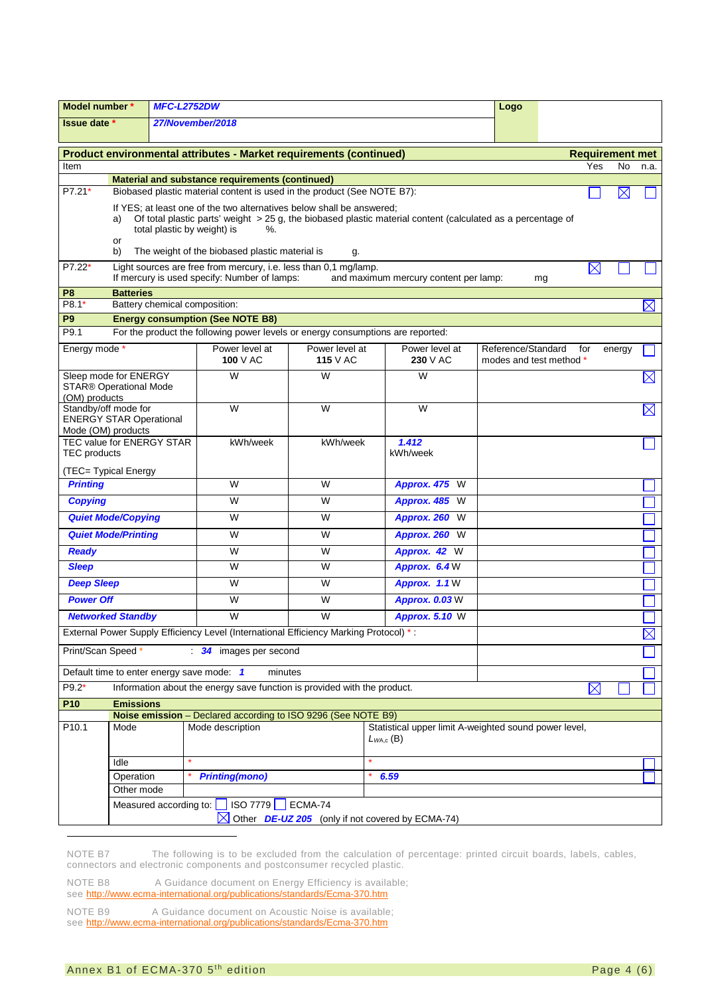| Model number *<br><b>MFC-L2752DW</b>                                                             |                                                                                                                                                                                                                                                                                                           |                               |                                                                                                                            |                                                             | Logo                                  |                                               |                        |        |             |
|--------------------------------------------------------------------------------------------------|-----------------------------------------------------------------------------------------------------------------------------------------------------------------------------------------------------------------------------------------------------------------------------------------------------------|-------------------------------|----------------------------------------------------------------------------------------------------------------------------|-------------------------------------------------------------|---------------------------------------|-----------------------------------------------|------------------------|--------|-------------|
| 27/November/2018<br><b>Issue date</b> *                                                          |                                                                                                                                                                                                                                                                                                           |                               |                                                                                                                            |                                                             |                                       |                                               |                        |        |             |
| Product environmental attributes - Market requirements (continued)                               |                                                                                                                                                                                                                                                                                                           |                               |                                                                                                                            |                                                             |                                       |                                               | <b>Requirement met</b> |        |             |
| Item                                                                                             |                                                                                                                                                                                                                                                                                                           |                               |                                                                                                                            |                                                             |                                       |                                               | Yes                    | No.    | n.a.        |
| P7.21*                                                                                           |                                                                                                                                                                                                                                                                                                           |                               | Material and substance requirements (continued)<br>Biobased plastic material content is used in the product (See NOTE B7): |                                                             |                                       |                                               |                        |        |             |
|                                                                                                  |                                                                                                                                                                                                                                                                                                           |                               |                                                                                                                            |                                                             |                                       |                                               |                        | X      |             |
|                                                                                                  | If YES; at least one of the two alternatives below shall be answered;<br>Of total plastic parts' weight $>$ 25 g, the biobased plastic material content (calculated as a percentage of<br>a)<br>total plastic by weight) is<br>$\%$ .<br>or<br>The weight of the biobased plastic material is<br>b)<br>g. |                               |                                                                                                                            |                                                             |                                       |                                               |                        |        |             |
| $P7.22*$                                                                                         |                                                                                                                                                                                                                                                                                                           |                               | Light sources are free from mercury, i.e. less than 0,1 mg/lamp.<br>If mercury is used specify: Number of lamps:           |                                                             | and maximum mercury content per lamp: |                                               | $\boxtimes$<br>mg      |        |             |
| P <sub>8</sub>                                                                                   | <b>Batteries</b>                                                                                                                                                                                                                                                                                          |                               |                                                                                                                            |                                                             |                                       |                                               |                        |        |             |
| P8.1*                                                                                            |                                                                                                                                                                                                                                                                                                           | Battery chemical composition: |                                                                                                                            |                                                             |                                       |                                               |                        |        | $\bowtie$   |
| P <sub>9</sub><br>P9.1                                                                           |                                                                                                                                                                                                                                                                                                           |                               | <b>Energy consumption (See NOTE B8)</b><br>For the product the following power levels or energy consumptions are reported: |                                                             |                                       |                                               |                        |        |             |
|                                                                                                  |                                                                                                                                                                                                                                                                                                           |                               |                                                                                                                            |                                                             |                                       |                                               |                        |        |             |
| Energy mode *                                                                                    |                                                                                                                                                                                                                                                                                                           |                               | Power level at<br>100 $V$ AC                                                                                               | Power level at<br><b>115</b> V AC                           | Power level at<br>230 V AC            | Reference/Standard<br>modes and test method * | for                    | energy |             |
| Sleep mode for ENERGY<br><b>STAR® Operational Mode</b><br>(OM) products                          |                                                                                                                                                                                                                                                                                                           |                               | W                                                                                                                          | W                                                           | W                                     |                                               |                        |        | $\boxtimes$ |
| Standby/off mode for<br><b>ENERGY STAR Operational</b><br>Mode (OM) products                     |                                                                                                                                                                                                                                                                                                           |                               | W                                                                                                                          | W                                                           | W                                     |                                               |                        |        | $\boxtimes$ |
| <b>TEC value for ENERGY STAR</b><br><b>TEC</b> products                                          |                                                                                                                                                                                                                                                                                                           |                               | kWh/week                                                                                                                   | kWh/week                                                    | 1.412<br>kWh/week                     |                                               |                        |        |             |
| (TEC= Typical Energy                                                                             |                                                                                                                                                                                                                                                                                                           |                               |                                                                                                                            |                                                             |                                       |                                               |                        |        |             |
| <b>Printing</b>                                                                                  |                                                                                                                                                                                                                                                                                                           |                               | W                                                                                                                          | W                                                           | <b>Approx. 475 W</b>                  |                                               |                        |        |             |
| <b>Copying</b>                                                                                   |                                                                                                                                                                                                                                                                                                           |                               | W                                                                                                                          | W                                                           | Approx. 485 W                         |                                               |                        |        |             |
|                                                                                                  | <b>Quiet Mode/Copying</b>                                                                                                                                                                                                                                                                                 |                               | W                                                                                                                          | W                                                           | Approx. 260 W                         |                                               |                        |        |             |
|                                                                                                  | <b>Quiet Mode/Printing</b>                                                                                                                                                                                                                                                                                |                               | W                                                                                                                          | W                                                           | Approx. 260 W                         |                                               |                        |        |             |
| <b>Ready</b>                                                                                     |                                                                                                                                                                                                                                                                                                           |                               | W                                                                                                                          | W                                                           | Approx. 42 W                          |                                               |                        |        |             |
| <b>Sleep</b>                                                                                     |                                                                                                                                                                                                                                                                                                           |                               | W                                                                                                                          | W                                                           | Approx. 6.4 W                         |                                               |                        |        |             |
| <b>Deep Sleep</b>                                                                                |                                                                                                                                                                                                                                                                                                           |                               | W                                                                                                                          | W                                                           | Approx. 1.1 W                         |                                               |                        |        |             |
| <b>Power Off</b>                                                                                 |                                                                                                                                                                                                                                                                                                           |                               | W                                                                                                                          | W                                                           | <b>Approx. 0.03 W</b>                 |                                               |                        |        |             |
|                                                                                                  | <b>Networked Standby</b>                                                                                                                                                                                                                                                                                  |                               | W                                                                                                                          | W                                                           | <b>Approx. 5.10 W</b>                 |                                               |                        |        |             |
|                                                                                                  |                                                                                                                                                                                                                                                                                                           |                               | External Power Supply Efficiency Level (International Efficiency Marking Protocol) *:                                      |                                                             |                                       |                                               |                        |        | $\boxtimes$ |
| Print/Scan Speed *                                                                               |                                                                                                                                                                                                                                                                                                           |                               | 34 images per second                                                                                                       |                                                             |                                       |                                               |                        |        |             |
|                                                                                                  |                                                                                                                                                                                                                                                                                                           |                               | Default time to enter energy save mode: 1<br>minutes                                                                       |                                                             |                                       |                                               |                        |        |             |
| P9.2*<br>Information about the energy save function is provided with the product.<br>$\boxtimes$ |                                                                                                                                                                                                                                                                                                           |                               |                                                                                                                            |                                                             |                                       |                                               |                        |        |             |
| <b>P10</b>                                                                                       | <b>Emissions</b>                                                                                                                                                                                                                                                                                          |                               |                                                                                                                            |                                                             |                                       |                                               |                        |        |             |
| P10.1                                                                                            |                                                                                                                                                                                                                                                                                                           |                               | Noise emission - Declared according to ISO 9296 (See NOTE B9)                                                              |                                                             |                                       |                                               |                        |        |             |
|                                                                                                  | Mode description<br>Statistical upper limit A-weighted sound power level,<br>Mode<br>$L_{WA,c}$ (B)                                                                                                                                                                                                       |                               |                                                                                                                            |                                                             |                                       |                                               |                        |        |             |
|                                                                                                  | Idle                                                                                                                                                                                                                                                                                                      |                               |                                                                                                                            |                                                             |                                       |                                               |                        |        |             |
|                                                                                                  | Operation                                                                                                                                                                                                                                                                                                 |                               | <b>Printing(mono)</b>                                                                                                      |                                                             | 6.59                                  |                                               |                        |        |             |
|                                                                                                  | Other mode                                                                                                                                                                                                                                                                                                |                               |                                                                                                                            |                                                             |                                       |                                               |                        |        |             |
|                                                                                                  |                                                                                                                                                                                                                                                                                                           | Measured according to:        | $ SO\,7779 $                                                                                                               | ECMA-74<br>Other DE-UZ 205 (only if not covered by ECMA-74) |                                       |                                               |                        |        |             |
|                                                                                                  |                                                                                                                                                                                                                                                                                                           |                               |                                                                                                                            |                                                             |                                       |                                               |                        |        |             |

<span id="page-3-0"></span>NOTE B7 The following is to be excluded from the calculation of percentage: printed circuit boards, labels, cables, connectors and electronic components and postconsumer recycled plastic.

<span id="page-3-1"></span>NOTE B8 A Guidance document on Energy Efficiency is available; see<http://www.ecma-international.org/publications/standards/Ecma-370.htm>

<span id="page-3-2"></span>NOTE B9 A Guidance document on Acoustic Noise is available; see<http://www.ecma-international.org/publications/standards/Ecma-370.htm>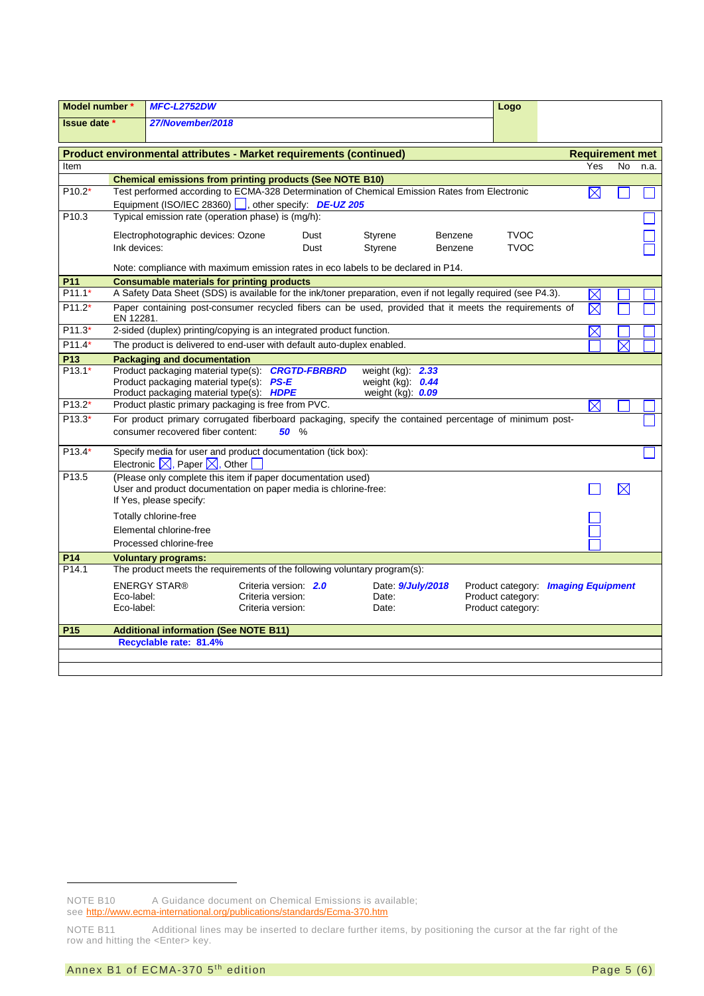| Model number *    |                                                                                                                                                        | <b>MFC-L2752DW</b>                                                                                                                                         |                                        |                       |                                                                          |         | Logo                                                                          |             |                       |                        |
|-------------------|--------------------------------------------------------------------------------------------------------------------------------------------------------|------------------------------------------------------------------------------------------------------------------------------------------------------------|----------------------------------------|-----------------------|--------------------------------------------------------------------------|---------|-------------------------------------------------------------------------------|-------------|-----------------------|------------------------|
| Issue date *      |                                                                                                                                                        | 27/November/2018                                                                                                                                           |                                        |                       |                                                                          |         |                                                                               |             |                       |                        |
|                   |                                                                                                                                                        |                                                                                                                                                            |                                        |                       |                                                                          |         |                                                                               |             |                       |                        |
|                   | Product environmental attributes - Market requirements (continued)                                                                                     |                                                                                                                                                            |                                        |                       |                                                                          |         |                                                                               |             |                       | <b>Requirement met</b> |
| Item              |                                                                                                                                                        |                                                                                                                                                            |                                        |                       |                                                                          |         |                                                                               | Yes         | <b>No</b>             | n.a.                   |
| $P10.2*$          |                                                                                                                                                        | <b>Chemical emissions from printing products (See NOTE B10)</b>                                                                                            |                                        |                       |                                                                          |         |                                                                               | $\boxtimes$ |                       |                        |
|                   | Test performed according to ECMA-328 Determination of Chemical Emission Rates from Electronic<br>Equipment (ISO/IEC 28360)  , other specify: DE-UZ 205 |                                                                                                                                                            |                                        |                       |                                                                          |         |                                                                               |             |                       |                        |
| P <sub>10.3</sub> | Typical emission rate (operation phase) is (mg/h):                                                                                                     |                                                                                                                                                            |                                        |                       |                                                                          |         |                                                                               |             |                       |                        |
|                   |                                                                                                                                                        | Electrophotographic devices: Ozone                                                                                                                         |                                        | Dust                  | Styrene                                                                  | Benzene | <b>TVOC</b>                                                                   |             |                       |                        |
|                   | Ink devices:                                                                                                                                           |                                                                                                                                                            |                                        | Dust                  | Styrene                                                                  | Benzene | <b>TVOC</b>                                                                   |             |                       |                        |
|                   |                                                                                                                                                        | Note: compliance with maximum emission rates in eco labels to be declared in P14.                                                                          |                                        |                       |                                                                          |         |                                                                               |             |                       |                        |
| P <sub>11</sub>   |                                                                                                                                                        | <b>Consumable materials for printing products</b>                                                                                                          |                                        |                       |                                                                          |         |                                                                               |             |                       |                        |
| $P11.1*$          |                                                                                                                                                        | A Safety Data Sheet (SDS) is available for the ink/toner preparation, even if not legally required (see P4.3).                                             |                                        |                       |                                                                          |         |                                                                               | $\boxtimes$ |                       |                        |
| $P11.2*$          | EN 12281.                                                                                                                                              | Paper containing post-consumer recycled fibers can be used, provided that it meets the requirements of                                                     |                                        |                       |                                                                          |         |                                                                               | $\boxtimes$ |                       |                        |
| P11.3*            |                                                                                                                                                        | 2-sided (duplex) printing/copying is an integrated product function.                                                                                       |                                        |                       |                                                                          |         |                                                                               | $\boxtimes$ |                       |                        |
| $P11.4*$          |                                                                                                                                                        | The product is delivered to end-user with default auto-duplex enabled.                                                                                     |                                        |                       |                                                                          |         |                                                                               |             | $\boldsymbol{\times}$ |                        |
| P <sub>13</sub>   |                                                                                                                                                        | <b>Packaging and documentation</b>                                                                                                                         |                                        |                       |                                                                          |         |                                                                               |             |                       |                        |
| $P13.1*$          |                                                                                                                                                        | Product packaging material type(s): <b>CRGTD-FBRBRD</b><br>Product packaging material type(s) PS-E<br>Product packaging material type(s): HDPE             |                                        |                       | weight $(kg)$ : 2.33<br>weight $(kg)$ : $0.44$<br>weight $(kg)$ : $0.09$ |         |                                                                               |             |                       |                        |
| $P13.2*$          |                                                                                                                                                        | Product plastic primary packaging is free from PVC.                                                                                                        |                                        |                       |                                                                          |         |                                                                               | $\boxtimes$ |                       |                        |
| $P13.3*$          | For product primary corrugated fiberboard packaging, specify the contained percentage of minimum post-<br>consumer recovered fiber content:<br>50 %    |                                                                                                                                                            |                                        |                       |                                                                          |         |                                                                               |             |                       |                        |
| $P13.4*$          | Specify media for user and product documentation (tick box):<br>Electronic $\boxtimes$ , Paper $\boxtimes$ , Other                                     |                                                                                                                                                            |                                        |                       |                                                                          |         |                                                                               |             |                       |                        |
| P <sub>13.5</sub> |                                                                                                                                                        | (Please only complete this item if paper documentation used)<br>User and product documentation on paper media is chlorine-free:<br>If Yes, please specify: |                                        |                       |                                                                          |         |                                                                               |             | $\boxtimes$           |                        |
|                   |                                                                                                                                                        | Totally chlorine-free<br>Elemental chlorine-free<br>Processed chlorine-free                                                                                |                                        |                       |                                                                          |         |                                                                               |             |                       |                        |
| P14               |                                                                                                                                                        | <b>Voluntary programs:</b>                                                                                                                                 |                                        |                       |                                                                          |         |                                                                               |             |                       |                        |
| P <sub>14.1</sub> |                                                                                                                                                        | The product meets the requirements of the following voluntary program(s):                                                                                  |                                        |                       |                                                                          |         |                                                                               |             |                       |                        |
|                   | Eco-label:<br>Eco-label:                                                                                                                               | <b>ENERGY STAR®</b>                                                                                                                                        | Criteria version:<br>Criteria version: | Criteria version: 2.0 | Date: <b>9/July/2018</b><br>Date:<br>Date:                               |         | Product category: Imaging Equipment<br>Product category:<br>Product category: |             |                       |                        |
| P <sub>15</sub>   |                                                                                                                                                        | <b>Additional information (See NOTE B11)</b>                                                                                                               |                                        |                       |                                                                          |         |                                                                               |             |                       |                        |
|                   |                                                                                                                                                        | Recyclable rate: 81.4%                                                                                                                                     |                                        |                       |                                                                          |         |                                                                               |             |                       |                        |
|                   |                                                                                                                                                        |                                                                                                                                                            |                                        |                       |                                                                          |         |                                                                               |             |                       |                        |

-

<span id="page-4-0"></span>NOTE B10 A Guidance document on Chemical Emissions is available;

see<http://www.ecma-international.org/publications/standards/Ecma-370.htm>

<span id="page-4-1"></span>NOTE B11 Additional lines may be inserted to declare further items, by positioning the cursor at the far right of the row and hitting the <Enter> key.